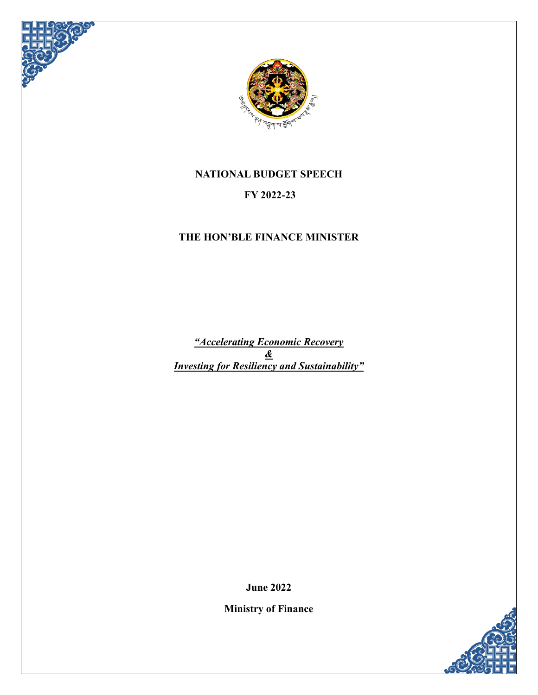



# **NATIONAL BUDGET SPEECH**

# **FY 2022-23**

# **THE HON'BLE FINANCE MINISTER**

*"Accelerating Economic Recovery & Investing for Resiliency and Sustainability"*

**June 2022**

**Ministry of Finance**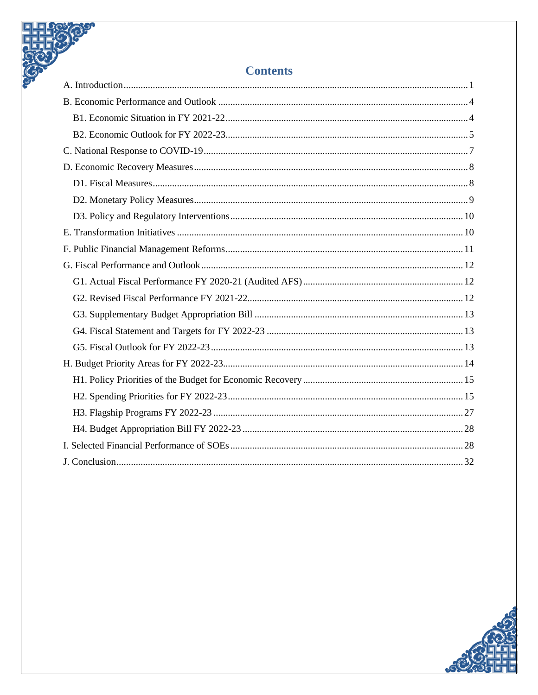| <b>Contents</b> |  |
|-----------------|--|
|                 |  |
|                 |  |
|                 |  |
|                 |  |
|                 |  |
|                 |  |
|                 |  |
|                 |  |
|                 |  |
|                 |  |
|                 |  |
|                 |  |
|                 |  |
|                 |  |
|                 |  |
|                 |  |
|                 |  |
|                 |  |
|                 |  |
|                 |  |
|                 |  |
|                 |  |
|                 |  |
|                 |  |

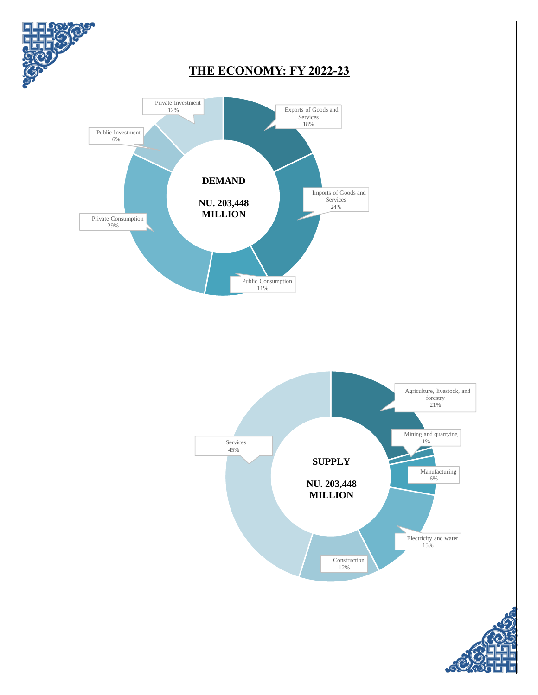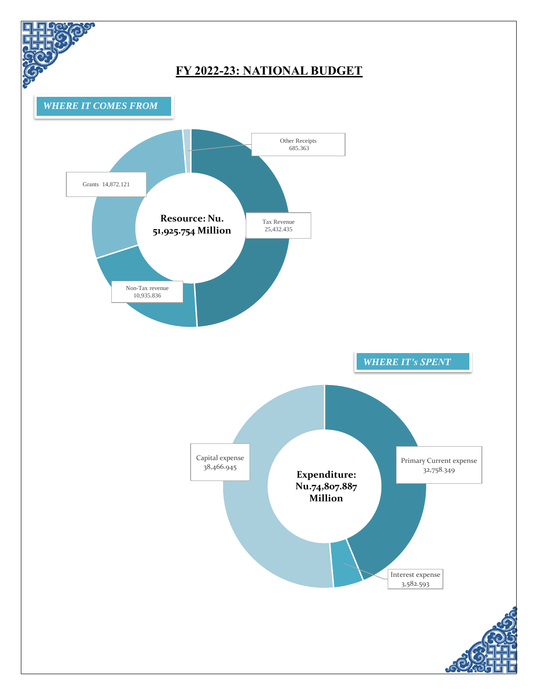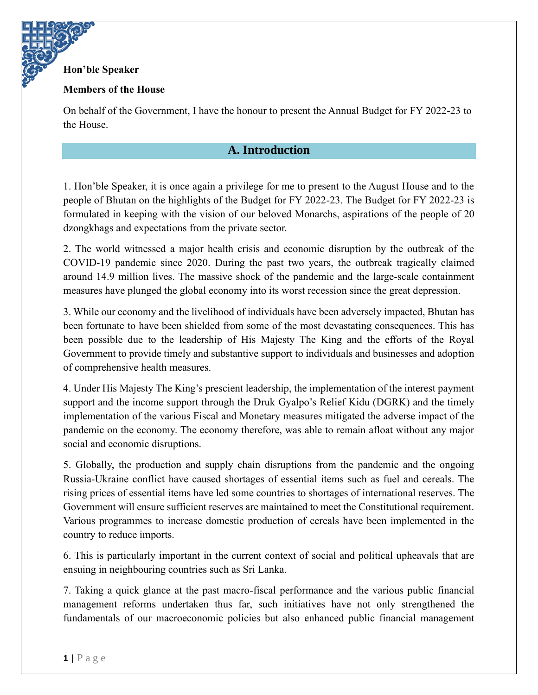#### **Hon'ble Speaker**

#### **Members of the House**

<span id="page-4-0"></span>On behalf of the Government, I have the honour to present the Annual Budget for FY 2022-23 to the House.

### **A. Introduction**

1. Hon'ble Speaker, it is once again a privilege for me to present to the August House and to the people of Bhutan on the highlights of the Budget for FY 2022-23. The Budget for FY 2022-23 is formulated in keeping with the vision of our beloved Monarchs, aspirations of the people of 20 dzongkhags and expectations from the private sector.

2. The world witnessed a major health crisis and economic disruption by the outbreak of the COVID-19 pandemic since 2020. During the past two years, the outbreak tragically claimed around 14.9 million lives. The massive shock of the pandemic and the large-scale containment measures have plunged the global economy into its worst recession since the great depression.

3. While our economy and the livelihood of individuals have been adversely impacted, Bhutan has been fortunate to have been shielded from some of the most devastating consequences. This has been possible due to the leadership of His Majesty The King and the efforts of the Royal Government to provide timely and substantive support to individuals and businesses and adoption of comprehensive health measures.

4. Under His Majesty The King's prescient leadership, the implementation of the interest payment support and the income support through the Druk Gyalpo's Relief Kidu (DGRK) and the timely implementation of the various Fiscal and Monetary measures mitigated the adverse impact of the pandemic on the economy. The economy therefore, was able to remain afloat without any major social and economic disruptions.

5. Globally, the production and supply chain disruptions from the pandemic and the ongoing Russia-Ukraine conflict have caused shortages of essential items such as fuel and cereals. The rising prices of essential items have led some countries to shortages of international reserves. The Government will ensure sufficient reserves are maintained to meet the Constitutional requirement. Various programmes to increase domestic production of cereals have been implemented in the country to reduce imports.

6. This is particularly important in the current context of social and political upheavals that are ensuing in neighbouring countries such as Sri Lanka.

7. Taking a quick glance at the past macro-fiscal performance and the various public financial management reforms undertaken thus far, such initiatives have not only strengthened the fundamentals of our macroeconomic policies but also enhanced public financial management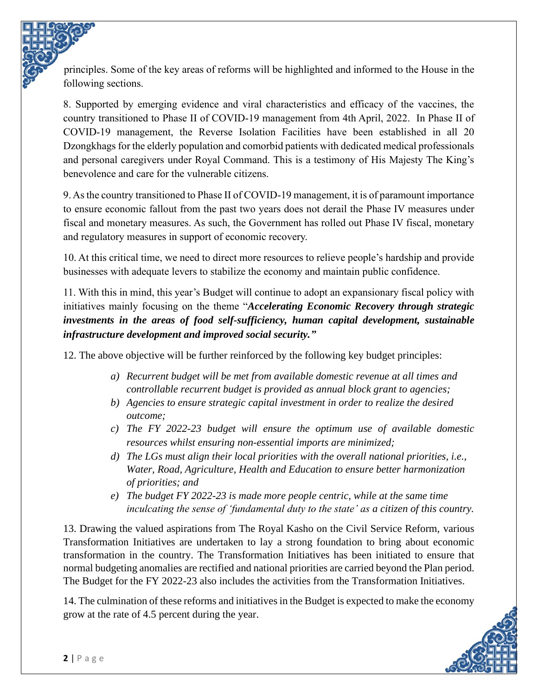principles. Some of the key areas of reforms will be highlighted and informed to the House in the following sections.

8. Supported by emerging evidence and viral characteristics and efficacy of the vaccines, the country transitioned to Phase II of COVID-19 management from 4th April, 2022. In Phase II of COVID-19 management, the Reverse Isolation Facilities have been established in all 20 Dzongkhags for the elderly population and comorbid patients with dedicated medical professionals and personal caregivers under Royal Command. This is a testimony of His Majesty The King's benevolence and care for the vulnerable citizens.

9. As the country transitioned to Phase II of COVID-19 management, it is of paramount importance to ensure economic fallout from the past two years does not derail the Phase IV measures under fiscal and monetary measures. As such, the Government has rolled out Phase IV fiscal, monetary and regulatory measures in support of economic recovery.

10. At this critical time, we need to direct more resources to relieve people's hardship and provide businesses with adequate levers to stabilize the economy and maintain public confidence.

11. With this in mind, this year's Budget will continue to adopt an expansionary fiscal policy with initiatives mainly focusing on the theme "*Accelerating Economic Recovery through strategic investments in the areas of food self-sufficiency, human capital development, sustainable infrastructure development and improved social security."*

12. The above objective will be further reinforced by the following key budget principles:

- *a) Recurrent budget will be met from available domestic revenue at all times and controllable recurrent budget is provided as annual block grant to agencies;*
- *b) Agencies to ensure strategic capital investment in order to realize the desired outcome;*
- *c) The FY 2022-23 budget will ensure the optimum use of available domestic resources whilst ensuring non-essential imports are minimized;*
- *d) The LGs must align their local priorities with the overall national priorities, i.e., Water, Road, Agriculture, Health and Education to ensure better harmonization of priorities; and*
- *e) The budget FY 2022-23 is made more people centric, while at the same time inculcating the sense of 'fundamental duty to the state' as a citizen of this country.*

13. Drawing the valued aspirations from The Royal Kasho on the Civil Service Reform, various Transformation Initiatives are undertaken to lay a strong foundation to bring about economic transformation in the country. The Transformation Initiatives has been initiated to ensure that normal budgeting anomalies are rectified and national priorities are carried beyond the Plan period. The Budget for the FY 2022-23 also includes the activities from the Transformation Initiatives.

14. The culmination of these reforms and initiatives in the Budget is expected to make the economy grow at the rate of 4.5 percent during the year.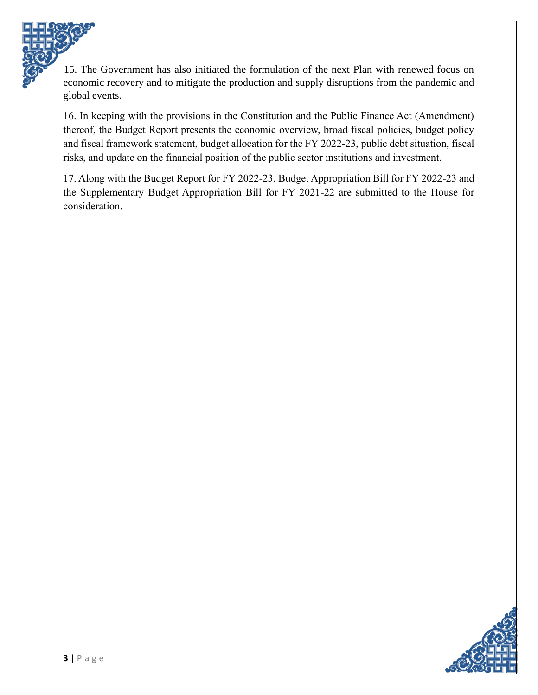15. The Government has also initiated the formulation of the next Plan with renewed focus on economic recovery and to mitigate the production and supply disruptions from the pandemic and global events.

16. In keeping with the provisions in the Constitution and the Public Finance Act (Amendment) thereof, the Budget Report presents the economic overview, broad fiscal policies, budget policy and fiscal framework statement, budget allocation for the FY 2022-23, public debt situation, fiscal risks, and update on the financial position of the public sector institutions and investment.

17. Along with the Budget Report for FY 2022-23, Budget Appropriation Bill for FY 2022-23 and the Supplementary Budget Appropriation Bill for FY 2021-22 are submitted to the House for consideration.

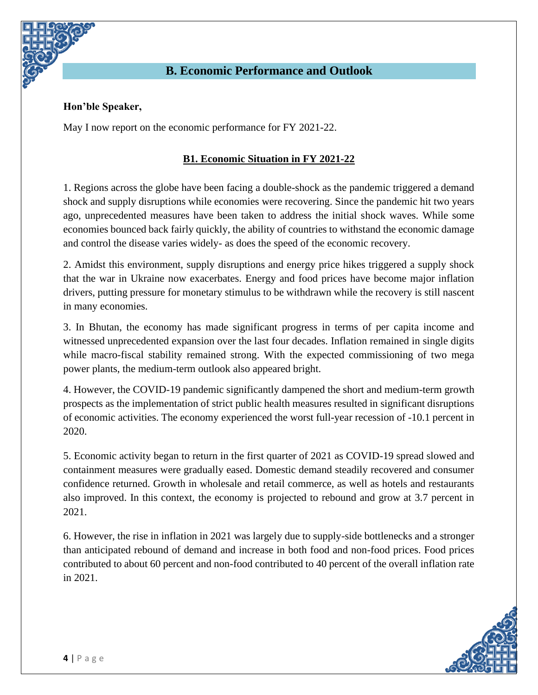

#### <span id="page-7-0"></span>**Hon'ble Speaker,**

<span id="page-7-1"></span>May I now report on the economic performance for FY 2021-22.

#### **B1. Economic Situation in FY 2021-22**

1. Regions across the globe have been facing a double-shock as the pandemic triggered a demand shock and supply disruptions while economies were recovering. Since the pandemic hit two years ago, unprecedented measures have been taken to address the initial shock waves. While some economies bounced back fairly quickly, the ability of countries to withstand the economic damage and control the disease varies widely- as does the speed of the economic recovery.

2. Amidst this environment, supply disruptions and energy price hikes triggered a supply shock that the war in Ukraine now exacerbates. Energy and food prices have become major inflation drivers, putting pressure for monetary stimulus to be withdrawn while the recovery is still nascent in many economies.

3. In Bhutan, the economy has made significant progress in terms of per capita income and witnessed unprecedented expansion over the last four decades. Inflation remained in single digits while macro-fiscal stability remained strong. With the expected commissioning of two mega power plants, the medium-term outlook also appeared bright.

4. However, the COVID-19 pandemic significantly dampened the short and medium-term growth prospects as the implementation of strict public health measures resulted in significant disruptions of economic activities. The economy experienced the worst full-year recession of -10.1 percent in 2020.

5. Economic activity began to return in the first quarter of 2021 as COVID-19 spread slowed and containment measures were gradually eased. Domestic demand steadily recovered and consumer confidence returned. Growth in wholesale and retail commerce, as well as hotels and restaurants also improved. In this context, the economy is projected to rebound and grow at 3.7 percent in 2021.

6. However, the rise in inflation in 2021 was largely due to supply-side bottlenecks and a stronger than anticipated rebound of demand and increase in both food and non-food prices. Food prices contributed to about 60 percent and non-food contributed to 40 percent of the overall inflation rate in 2021.

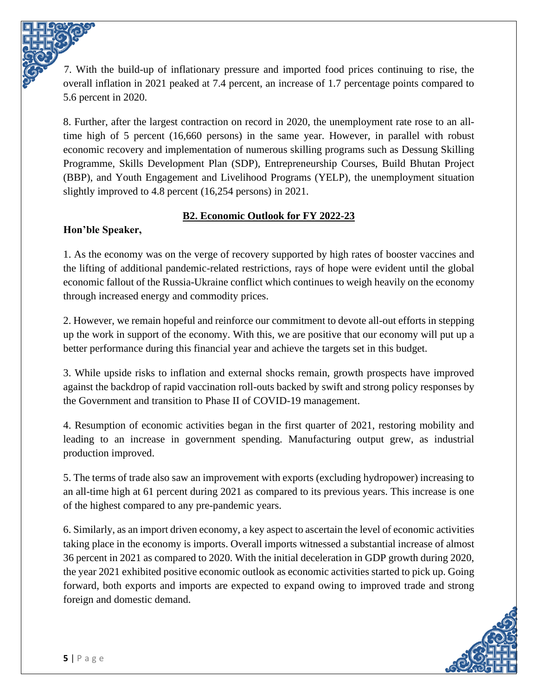7. With the build-up of inflationary pressure and imported food prices continuing to rise, the overall inflation in 2021 peaked at 7.4 percent, an increase of 1.7 percentage points compared to 5.6 percent in 2020.

8. Further, after the largest contraction on record in 2020, the unemployment rate rose to an alltime high of 5 percent (16,660 persons) in the same year. However, in parallel with robust economic recovery and implementation of numerous skilling programs such as Dessung Skilling Programme, Skills Development Plan (SDP), Entrepreneurship Courses, Build Bhutan Project (BBP), and Youth Engagement and Livelihood Programs (YELP), the unemployment situation slightly improved to 4.8 percent (16,254 persons) in 2021.

## **B2. Economic Outlook for FY 2022-23**

## <span id="page-8-0"></span>**Hon'ble Speaker,**

1. As the economy was on the verge of recovery supported by high rates of booster vaccines and the lifting of additional pandemic-related restrictions, rays of hope were evident until the global economic fallout of the Russia-Ukraine conflict which continues to weigh heavily on the economy through increased energy and commodity prices.

2. However, we remain hopeful and reinforce our commitment to devote all-out efforts in stepping up the work in support of the economy. With this, we are positive that our economy will put up a better performance during this financial year and achieve the targets set in this budget.

3. While upside risks to inflation and external shocks remain, growth prospects have improved against the backdrop of rapid vaccination roll-outs backed by swift and strong policy responses by the Government and transition to Phase II of COVID-19 management.

4. Resumption of economic activities began in the first quarter of 2021, restoring mobility and leading to an increase in government spending. Manufacturing output grew, as industrial production improved.

5. The terms of trade also saw an improvement with exports (excluding hydropower) increasing to an all-time high at 61 percent during 2021 as compared to its previous years. This increase is one of the highest compared to any pre-pandemic years.

6. Similarly, as an import driven economy, a key aspect to ascertain the level of economic activities taking place in the economy is imports. Overall imports witnessed a substantial increase of almost 36 percent in 2021 as compared to 2020. With the initial deceleration in GDP growth during 2020, the year 2021 exhibited positive economic outlook as economic activities started to pick up. Going forward, both exports and imports are expected to expand owing to improved trade and strong foreign and domestic demand.

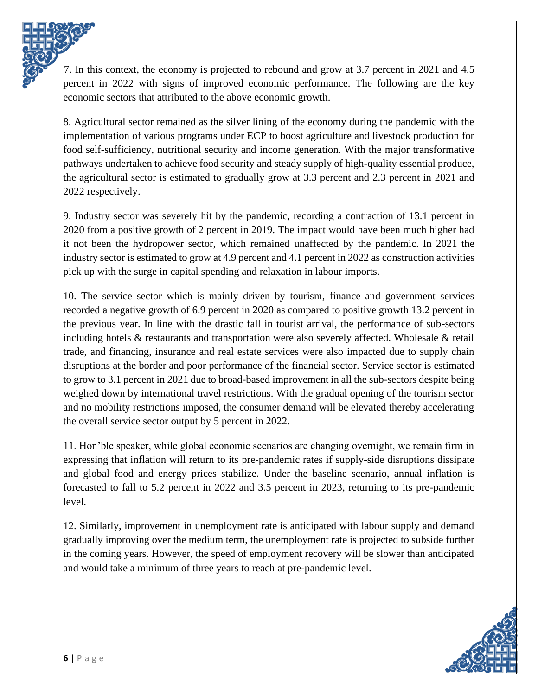7. In this context, the economy is projected to rebound and grow at 3.7 percent in 2021 and 4.5 percent in 2022 with signs of improved economic performance. The following are the key economic sectors that attributed to the above economic growth.

8. Agricultural sector remained as the silver lining of the economy during the pandemic with the implementation of various programs under ECP to boost agriculture and livestock production for food self-sufficiency, nutritional security and income generation. With the major transformative pathways undertaken to achieve food security and steady supply of high-quality essential produce, the agricultural sector is estimated to gradually grow at 3.3 percent and 2.3 percent in 2021 and 2022 respectively.

9. Industry sector was severely hit by the pandemic, recording a contraction of 13.1 percent in 2020 from a positive growth of 2 percent in 2019. The impact would have been much higher had it not been the hydropower sector, which remained unaffected by the pandemic. In 2021 the industry sector is estimated to grow at 4.9 percent and 4.1 percent in 2022 as construction activities pick up with the surge in capital spending and relaxation in labour imports.

10. The service sector which is mainly driven by tourism, finance and government services recorded a negative growth of 6.9 percent in 2020 as compared to positive growth 13.2 percent in the previous year. In line with the drastic fall in tourist arrival, the performance of sub-sectors including hotels & restaurants and transportation were also severely affected. Wholesale & retail trade, and financing, insurance and real estate services were also impacted due to supply chain disruptions at the border and poor performance of the financial sector. Service sector is estimated to grow to 3.1 percent in 2021 due to broad-based improvement in all the sub-sectors despite being weighed down by international travel restrictions. With the gradual opening of the tourism sector and no mobility restrictions imposed, the consumer demand will be elevated thereby accelerating the overall service sector output by 5 percent in 2022.

11. Hon'ble speaker, while global economic scenarios are changing overnight, we remain firm in expressing that inflation will return to its pre-pandemic rates if supply-side disruptions dissipate and global food and energy prices stabilize. Under the baseline scenario, annual inflation is forecasted to fall to 5.2 percent in 2022 and 3.5 percent in 2023, returning to its pre-pandemic level.

12. Similarly, improvement in unemployment rate is anticipated with labour supply and demand gradually improving over the medium term, the unemployment rate is projected to subside further in the coming years. However, the speed of employment recovery will be slower than anticipated and would take a minimum of three years to reach at pre-pandemic level.

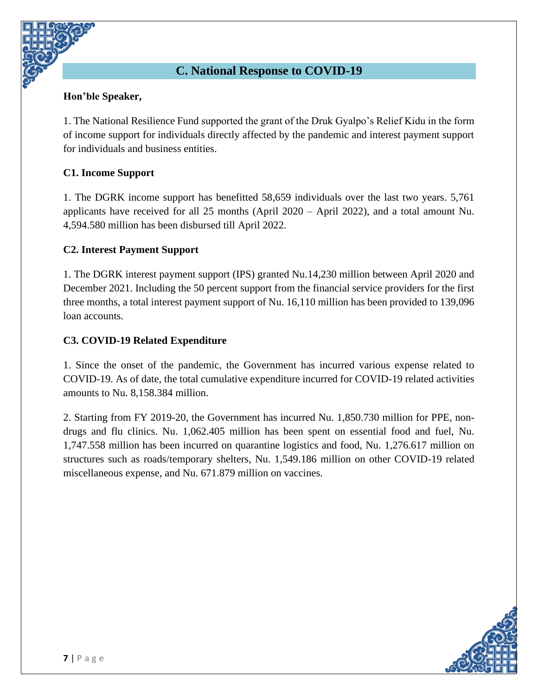# **C. National Response to COVID-19**

#### <span id="page-10-0"></span>**Hon'ble Speaker,**

1. The National Resilience Fund supported the grant of the Druk Gyalpo's Relief Kidu in the form of income support for individuals directly affected by the pandemic and interest payment support for individuals and business entities.

#### **C1. Income Support**

1. The DGRK income support has benefitted 58,659 individuals over the last two years. 5,761 applicants have received for all 25 months (April 2020 – April 2022), and a total amount Nu. 4,594.580 million has been disbursed till April 2022.

#### **C2. Interest Payment Support**

1. The DGRK interest payment support (IPS) granted Nu.14,230 million between April 2020 and December 2021. Including the 50 percent support from the financial service providers for the first three months, a total interest payment support of Nu. 16,110 million has been provided to 139,096 loan accounts.

#### **C3. COVID-19 Related Expenditure**

1. Since the onset of the pandemic, the Government has incurred various expense related to COVID-19. As of date, the total cumulative expenditure incurred for COVID-19 related activities amounts to Nu. 8,158.384 million.

2. Starting from FY 2019-20, the Government has incurred Nu. 1,850.730 million for PPE, nondrugs and flu clinics. Nu. 1,062.405 million has been spent on essential food and fuel, Nu. 1,747.558 million has been incurred on quarantine logistics and food, Nu. 1,276.617 million on structures such as roads/temporary shelters, Nu. 1,549.186 million on other COVID-19 related miscellaneous expense, and Nu. 671.879 million on vaccines.

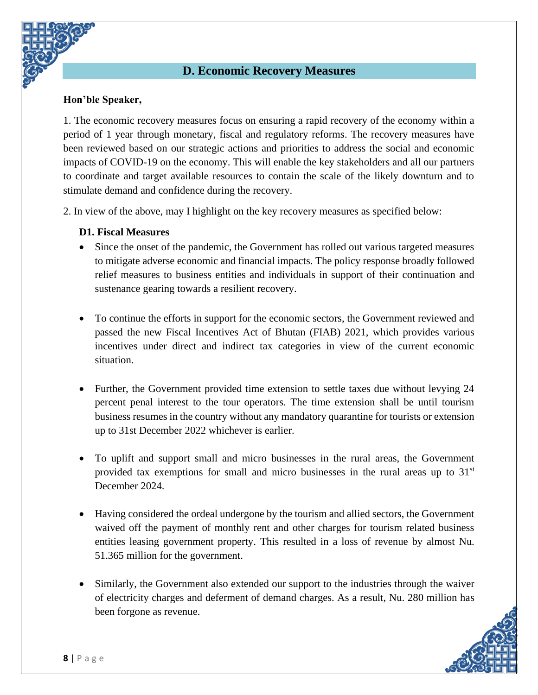## **D. Economic Recovery Measures**

#### <span id="page-11-0"></span>**Hon'ble Speaker,**

1. The economic recovery measures focus on ensuring a rapid recovery of the economy within a period of 1 year through monetary, fiscal and regulatory reforms. The recovery measures have been reviewed based on our strategic actions and priorities to address the social and economic impacts of COVID-19 on the economy. This will enable the key stakeholders and all our partners to coordinate and target available resources to contain the scale of the likely downturn and to stimulate demand and confidence during the recovery.

2. In view of the above, may I highlight on the key recovery measures as specified below:

#### <span id="page-11-1"></span>**D1. Fiscal Measures**

- Since the onset of the pandemic, the Government has rolled out various targeted measures to mitigate adverse economic and financial impacts. The policy response broadly followed relief measures to business entities and individuals in support of their continuation and sustenance gearing towards a resilient recovery.
- To continue the efforts in support for the economic sectors, the Government reviewed and passed the new Fiscal Incentives Act of Bhutan (FIAB) 2021, which provides various incentives under direct and indirect tax categories in view of the current economic situation.
- Further, the Government provided time extension to settle taxes due without levying 24 percent penal interest to the tour operators. The time extension shall be until tourism business resumes in the country without any mandatory quarantine for tourists or extension up to 31st December 2022 whichever is earlier.
- To uplift and support small and micro businesses in the rural areas, the Government provided tax exemptions for small and micro businesses in the rural areas up to  $31<sup>st</sup>$ December 2024.
- Having considered the ordeal undergone by the tourism and allied sectors, the Government waived off the payment of monthly rent and other charges for tourism related business entities leasing government property. This resulted in a loss of revenue by almost Nu. 51.365 million for the government.
- Similarly, the Government also extended our support to the industries through the waiver of electricity charges and deferment of demand charges. As a result, Nu. 280 million has been forgone as revenue.

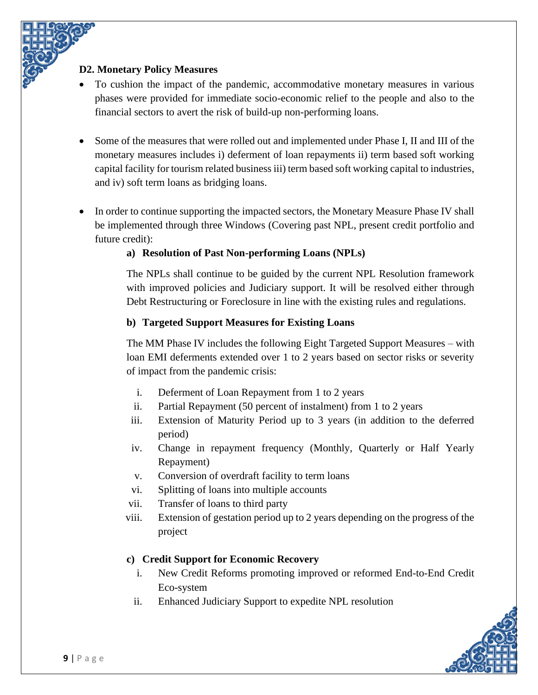### <span id="page-12-0"></span>**D2. Monetary Policy Measures**

- To cushion the impact of the pandemic, accommodative monetary measures in various phases were provided for immediate socio-economic relief to the people and also to the financial sectors to avert the risk of build-up non-performing loans.
- Some of the measures that were rolled out and implemented under Phase I, II and III of the monetary measures includes i) deferment of loan repayments ii) term based soft working capital facility for tourism related business iii) term based soft working capital to industries, and iv) soft term loans as bridging loans.
- In order to continue supporting the impacted sectors, the Monetary Measure Phase IV shall be implemented through three Windows (Covering past NPL, present credit portfolio and future credit):

### **a) Resolution of Past Non-performing Loans (NPLs)**

The NPLs shall continue to be guided by the current NPL Resolution framework with improved policies and Judiciary support. It will be resolved either through Debt Restructuring or Foreclosure in line with the existing rules and regulations.

#### **b) Targeted Support Measures for Existing Loans**

The MM Phase IV includes the following Eight Targeted Support Measures – with loan EMI deferments extended over 1 to 2 years based on sector risks or severity of impact from the pandemic crisis:

- i. Deferment of Loan Repayment from 1 to 2 years
- ii. Partial Repayment (50 percent of instalment) from 1 to 2 years
- iii. Extension of Maturity Period up to 3 years (in addition to the deferred period)
- iv. Change in repayment frequency (Monthly, Quarterly or Half Yearly Repayment)
- v. Conversion of overdraft facility to term loans
- vi. Splitting of loans into multiple accounts
- vii. Transfer of loans to third party
- viii. Extension of gestation period up to 2 years depending on the progress of the project

#### **c) Credit Support for Economic Recovery**

- i. New Credit Reforms promoting improved or reformed End-to-End Credit Eco-system
- ii. Enhanced Judiciary Support to expedite NPL resolution

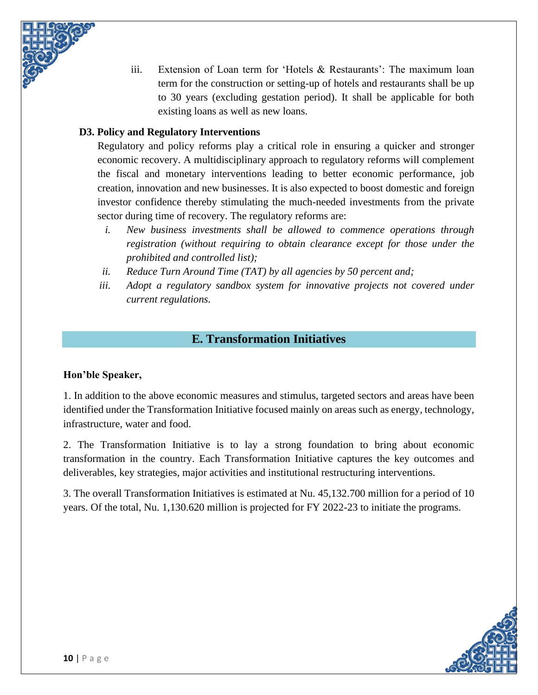

#### <span id="page-13-0"></span>**D3. Policy and Regulatory Interventions**

Regulatory and policy reforms play a critical role in ensuring a quicker and stronger economic recovery. A multidisciplinary approach to regulatory reforms will complement the fiscal and monetary interventions leading to better economic performance, job creation, innovation and new businesses. It is also expected to boost domestic and foreign investor confidence thereby stimulating the much-needed investments from the private sector during time of recovery. The regulatory reforms are:

- *i. New business investments shall be allowed to commence operations through registration (without requiring to obtain clearance except for those under the prohibited and controlled list);*
- *ii. Reduce Turn Around Time (TAT) by all agencies by 50 percent and;*
- iii. Adopt a regulatory sandbox system for innovative projects not covered under *current regulations.*

## **E. Transformation Initiatives**

#### <span id="page-13-1"></span>**Hon'ble Speaker,**

1. In addition to the above economic measures and stimulus, targeted sectors and areas have been identified under the Transformation Initiative focused mainly on areas such as energy, technology, infrastructure, water and food.

2. The Transformation Initiative is to lay a strong foundation to bring about economic transformation in the country. Each Transformation Initiative captures the key outcomes and deliverables, key strategies, major activities and institutional restructuring interventions.

3. The overall Transformation Initiatives is estimated at Nu. 45,132.700 million for a period of 10 years. Of the total, Nu. 1,130.620 million is projected for FY 2022-23 to initiate the programs.

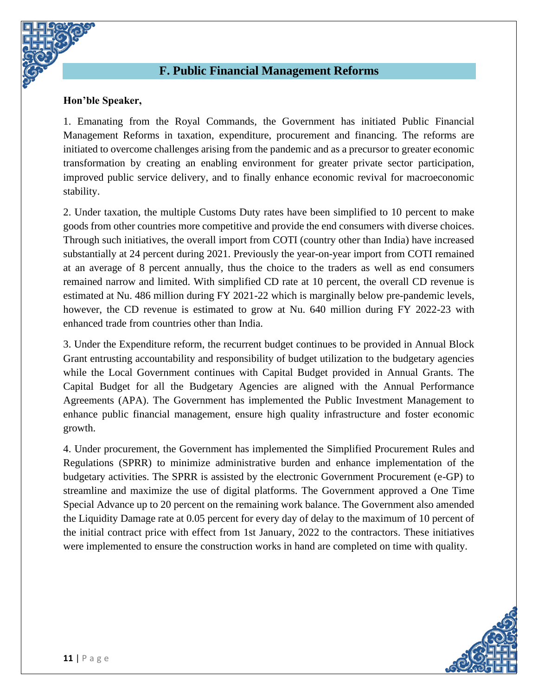## **F. Public Financial Management Reforms**

#### <span id="page-14-0"></span>**Hon'ble Speaker,**

1. Emanating from the Royal Commands, the Government has initiated Public Financial Management Reforms in taxation, expenditure, procurement and financing. The reforms are initiated to overcome challenges arising from the pandemic and as a precursor to greater economic transformation by creating an enabling environment for greater private sector participation, improved public service delivery, and to finally enhance economic revival for macroeconomic stability.

2. Under taxation, the multiple Customs Duty rates have been simplified to 10 percent to make goods from other countries more competitive and provide the end consumers with diverse choices. Through such initiatives, the overall import from COTI (country other than India) have increased substantially at 24 percent during 2021. Previously the year-on-year import from COTI remained at an average of 8 percent annually, thus the choice to the traders as well as end consumers remained narrow and limited. With simplified CD rate at 10 percent, the overall CD revenue is estimated at Nu. 486 million during FY 2021-22 which is marginally below pre-pandemic levels, however, the CD revenue is estimated to grow at Nu. 640 million during FY 2022-23 with enhanced trade from countries other than India.

3. Under the Expenditure reform, the recurrent budget continues to be provided in Annual Block Grant entrusting accountability and responsibility of budget utilization to the budgetary agencies while the Local Government continues with Capital Budget provided in Annual Grants. The Capital Budget for all the Budgetary Agencies are aligned with the Annual Performance Agreements (APA). The Government has implemented the Public Investment Management to enhance public financial management, ensure high quality infrastructure and foster economic growth.

4. Under procurement, the Government has implemented the Simplified Procurement Rules and Regulations (SPRR) to minimize administrative burden and enhance implementation of the budgetary activities. The SPRR is assisted by the electronic Government Procurement (e-GP) to streamline and maximize the use of digital platforms. The Government approved a One Time Special Advance up to 20 percent on the remaining work balance. The Government also amended the Liquidity Damage rate at 0.05 percent for every day of delay to the maximum of 10 percent of the initial contract price with effect from 1st January, 2022 to the contractors. These initiatives were implemented to ensure the construction works in hand are completed on time with quality.

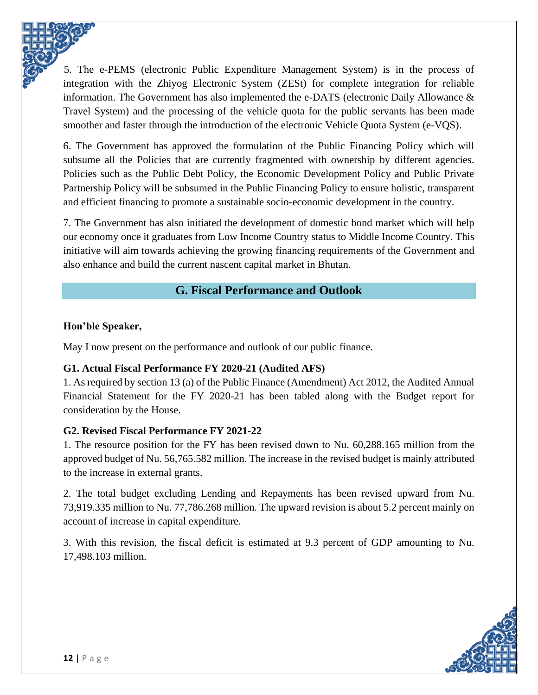5. The e-PEMS (electronic Public Expenditure Management System) is in the process of integration with the Zhiyog Electronic System (ZESt) for complete integration for reliable information. The Government has also implemented the e-DATS (electronic Daily Allowance & Travel System) and the processing of the vehicle quota for the public servants has been made smoother and faster through the introduction of the electronic Vehicle Quota System (e-VQS).

6. The Government has approved the formulation of the Public Financing Policy which will subsume all the Policies that are currently fragmented with ownership by different agencies. Policies such as the Public Debt Policy, the Economic Development Policy and Public Private Partnership Policy will be subsumed in the Public Financing Policy to ensure holistic, transparent and efficient financing to promote a sustainable socio-economic development in the country.

7. The Government has also initiated the development of domestic bond market which will help our economy once it graduates from Low Income Country status to Middle Income Country. This initiative will aim towards achieving the growing financing requirements of the Government and also enhance and build the current nascent capital market in Bhutan.

# **G. Fiscal Performance and Outlook**

### <span id="page-15-0"></span>**Hon'ble Speaker,**

May I now present on the performance and outlook of our public finance.

## <span id="page-15-1"></span>**G1. Actual Fiscal Performance FY 2020-21 (Audited AFS)**

1. As required by section 13 (a) of the Public Finance (Amendment) Act 2012, the Audited Annual Financial Statement for the FY 2020-21 has been tabled along with the Budget report for consideration by the House.

#### <span id="page-15-2"></span>**G2. Revised Fiscal Performance FY 2021-22**

1. The resource position for the FY has been revised down to Nu. 60,288.165 million from the approved budget of Nu. 56,765.582 million. The increase in the revised budget is mainly attributed to the increase in external grants.

2. The total budget excluding Lending and Repayments has been revised upward from Nu. 73,919.335 million to Nu. 77,786.268 million. The upward revision is about 5.2 percent mainly on account of increase in capital expenditure.

3. With this revision, the fiscal deficit is estimated at 9.3 percent of GDP amounting to Nu. 17,498.103 million.

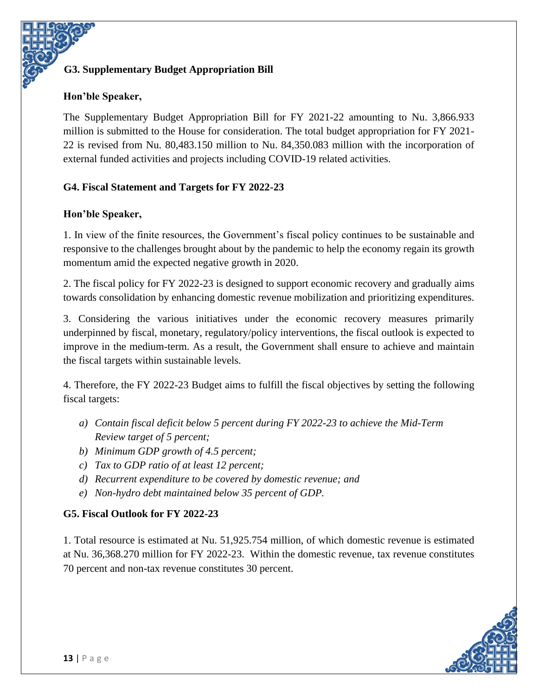## <span id="page-16-0"></span>**G3. Supplementary Budget Appropriation Bill**

#### **Hon'ble Speaker,**

The Supplementary Budget Appropriation Bill for FY 2021-22 amounting to Nu. 3,866.933 million is submitted to the House for consideration. The total budget appropriation for FY 2021- 22 is revised from Nu. 80,483.150 million to Nu. 84,350.083 million with the incorporation of external funded activities and projects including COVID-19 related activities.

#### <span id="page-16-1"></span>**G4. Fiscal Statement and Targets for FY 2022-23**

#### **Hon'ble Speaker,**

1. In view of the finite resources, the Government's fiscal policy continues to be sustainable and responsive to the challenges brought about by the pandemic to help the economy regain its growth momentum amid the expected negative growth in 2020.

2. The fiscal policy for FY 2022-23 is designed to support economic recovery and gradually aims towards consolidation by enhancing domestic revenue mobilization and prioritizing expenditures.

3. Considering the various initiatives under the economic recovery measures primarily underpinned by fiscal, monetary, regulatory/policy interventions, the fiscal outlook is expected to improve in the medium-term. As a result, the Government shall ensure to achieve and maintain the fiscal targets within sustainable levels.

4. Therefore, the FY 2022-23 Budget aims to fulfill the fiscal objectives by setting the following fiscal targets:

- *a) Contain fiscal deficit below 5 percent during FY 2022-23 to achieve the Mid-Term Review target of 5 percent;*
- *b) Minimum GDP growth of 4.5 percent;*
- *c) Tax to GDP ratio of at least 12 percent;*
- *d) Recurrent expenditure to be covered by domestic revenue; and*
- *e) Non-hydro debt maintained below 35 percent of GDP.*

#### <span id="page-16-2"></span>**G5. Fiscal Outlook for FY 2022-23**

1. Total resource is estimated at Nu. 51,925.754 million, of which domestic revenue is estimated at Nu. 36,368.270 million for FY 2022-23. Within the domestic revenue, tax revenue constitutes 70 percent and non-tax revenue constitutes 30 percent.

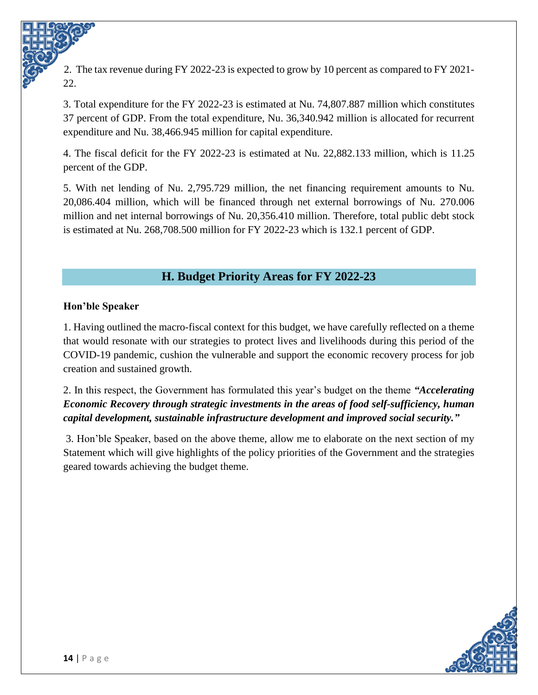2. The tax revenue during FY 2022-23 is expected to grow by 10 percent as compared to FY 2021- 22.

3. Total expenditure for the FY 2022-23 is estimated at Nu. 74,807.887 million which constitutes 37 percent of GDP. From the total expenditure, Nu. 36,340.942 million is allocated for recurrent expenditure and Nu. 38,466.945 million for capital expenditure.

4. The fiscal deficit for the FY 2022-23 is estimated at Nu. 22,882.133 million, which is 11.25 percent of the GDP.

5. With net lending of Nu. 2,795.729 million, the net financing requirement amounts to Nu. 20,086.404 million, which will be financed through net external borrowings of Nu. 270.006 million and net internal borrowings of Nu. 20,356.410 million. Therefore, total public debt stock is estimated at Nu. 268,708.500 million for FY 2022-23 which is 132.1 percent of GDP.

# **H. Budget Priority Areas for FY 2022-23**

### <span id="page-17-0"></span>**Hon'ble Speaker**

1. Having outlined the macro-fiscal context for this budget, we have carefully reflected on a theme that would resonate with our strategies to protect lives and livelihoods during this period of the COVID-19 pandemic, cushion the vulnerable and support the economic recovery process for job creation and sustained growth.

2. In this respect, the Government has formulated this year's budget on the theme *"Accelerating Economic Recovery through strategic investments in the areas of food self-sufficiency, human capital development, sustainable infrastructure development and improved social security."*

3. Hon'ble Speaker, based on the above theme, allow me to elaborate on the next section of my Statement which will give highlights of the policy priorities of the Government and the strategies geared towards achieving the budget theme.

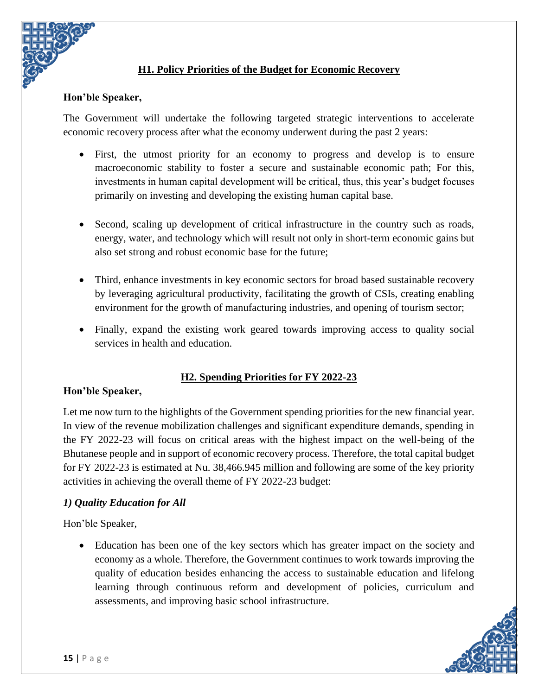

### **H1. Policy Priorities of the Budget for Economic Recovery**

#### <span id="page-18-0"></span>**Hon'ble Speaker,**

The Government will undertake the following targeted strategic interventions to accelerate economic recovery process after what the economy underwent during the past 2 years:

- First, the utmost priority for an economy to progress and develop is to ensure macroeconomic stability to foster a secure and sustainable economic path; For this, investments in human capital development will be critical, thus, this year's budget focuses primarily on investing and developing the existing human capital base.
- Second, scaling up development of critical infrastructure in the country such as roads, energy, water, and technology which will result not only in short-term economic gains but also set strong and robust economic base for the future;
- Third, enhance investments in key economic sectors for broad based sustainable recovery by leveraging agricultural productivity, facilitating the growth of CSIs, creating enabling environment for the growth of manufacturing industries, and opening of tourism sector;
- Finally, expand the existing work geared towards improving access to quality social services in health and education.

#### **H2. Spending Priorities for FY 2022-23**

#### <span id="page-18-1"></span>**Hon'ble Speaker,**

Let me now turn to the highlights of the Government spending priorities for the new financial year. In view of the revenue mobilization challenges and significant expenditure demands, spending in the FY 2022-23 will focus on critical areas with the highest impact on the well-being of the Bhutanese people and in support of economic recovery process. Therefore, the total capital budget for FY 2022-23 is estimated at Nu. 38,466.945 million and following are some of the key priority activities in achieving the overall theme of FY 2022-23 budget:

#### *1) Quality Education for All*

Hon'ble Speaker,

• Education has been one of the key sectors which has greater impact on the society and economy as a whole. Therefore, the Government continues to work towards improving the quality of education besides enhancing the access to sustainable education and lifelong learning through continuous reform and development of policies, curriculum and assessments, and improving basic school infrastructure.

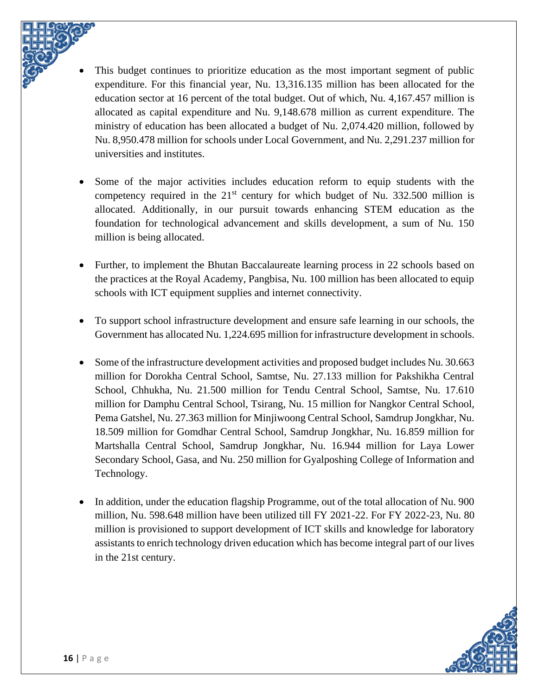- This budget continues to prioritize education as the most important segment of public expenditure. For this financial year, Nu. 13,316.135 million has been allocated for the education sector at 16 percent of the total budget. Out of which, Nu. 4,167.457 million is allocated as capital expenditure and Nu. 9,148.678 million as current expenditure. The ministry of education has been allocated a budget of Nu. 2,074.420 million, followed by Nu. 8,950.478 million for schools under Local Government, and Nu. 2,291.237 million for universities and institutes.
- Some of the major activities includes education reform to equip students with the competency required in the  $21<sup>st</sup>$  century for which budget of Nu. 332.500 million is allocated. Additionally, in our pursuit towards enhancing STEM education as the foundation for technological advancement and skills development, a sum of Nu. 150 million is being allocated.
- Further, to implement the Bhutan Baccalaureate learning process in 22 schools based on the practices at the Royal Academy, Pangbisa, Nu. 100 million has been allocated to equip schools with ICT equipment supplies and internet connectivity.
- To support school infrastructure development and ensure safe learning in our schools, the Government has allocated Nu. 1,224.695 million for infrastructure development in schools.
- Some of the infrastructure development activities and proposed budget includes Nu. 30.663 million for Dorokha Central School, Samtse, Nu. 27.133 million for Pakshikha Central School, Chhukha, Nu. 21.500 million for Tendu Central School, Samtse, Nu. 17.610 million for Damphu Central School, Tsirang, Nu. 15 million for Nangkor Central School, Pema Gatshel, Nu. 27.363 million for Minjiwoong Central School, Samdrup Jongkhar, Nu. 18.509 million for Gomdhar Central School, Samdrup Jongkhar, Nu. 16.859 million for Martshalla Central School, Samdrup Jongkhar, Nu. 16.944 million for Laya Lower Secondary School, Gasa, and Nu. 250 million for Gyalposhing College of Information and Technology.
- In addition, under the education flagship Programme, out of the total allocation of Nu. 900 million, Nu. 598.648 million have been utilized till FY 2021-22. For FY 2022-23, Nu. 80 million is provisioned to support development of ICT skills and knowledge for laboratory assistants to enrich technology driven education which has become integral part of our lives in the 21st century.

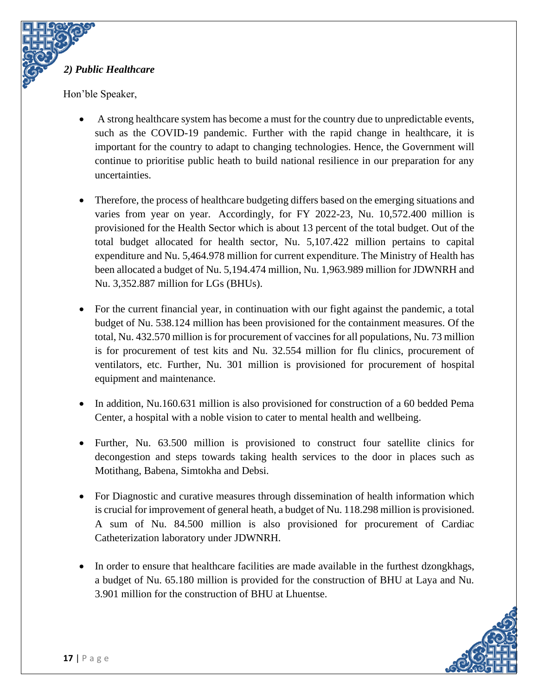

Hon'ble Speaker,

- A strong healthcare system has become a must for the country due to unpredictable events, such as the COVID-19 pandemic. Further with the rapid change in healthcare, it is important for the country to adapt to changing technologies. Hence, the Government will continue to prioritise public heath to build national resilience in our preparation for any uncertainties.
- Therefore, the process of healthcare budgeting differs based on the emerging situations and varies from year on year. Accordingly, for FY 2022-23, Nu. 10,572.400 million is provisioned for the Health Sector which is about 13 percent of the total budget. Out of the total budget allocated for health sector, Nu. 5,107.422 million pertains to capital expenditure and Nu. 5,464.978 million for current expenditure. The Ministry of Health has been allocated a budget of Nu. 5,194.474 million, Nu. 1,963.989 million for JDWNRH and Nu. 3,352.887 million for LGs (BHUs).
- For the current financial year, in continuation with our fight against the pandemic, a total budget of Nu. 538.124 million has been provisioned for the containment measures. Of the total, Nu. 432.570 million is for procurement of vaccines for all populations, Nu. 73 million is for procurement of test kits and Nu. 32.554 million for flu clinics, procurement of ventilators, etc. Further, Nu. 301 million is provisioned for procurement of hospital equipment and maintenance.
- In addition, Nu.160.631 million is also provisioned for construction of a 60 bedded Pema Center, a hospital with a noble vision to cater to mental health and wellbeing.
- Further, Nu. 63.500 million is provisioned to construct four satellite clinics for decongestion and steps towards taking health services to the door in places such as Motithang, Babena, Simtokha and Debsi.
- For Diagnostic and curative measures through dissemination of health information which is crucial for improvement of general heath, a budget of Nu. 118.298 million is provisioned. A sum of Nu. 84.500 million is also provisioned for procurement of Cardiac Catheterization laboratory under JDWNRH.
- In order to ensure that healthcare facilities are made available in the furthest dzongkhags, a budget of Nu. 65.180 million is provided for the construction of BHU at Laya and Nu. 3.901 million for the construction of BHU at Lhuentse.

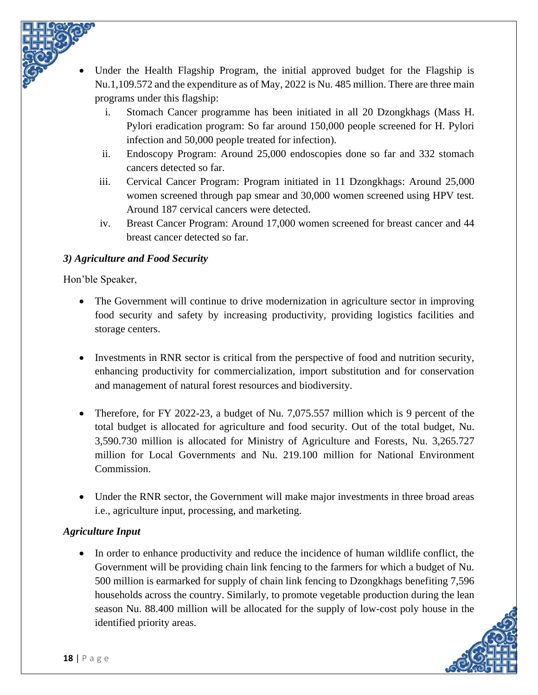Under the Health Flagship Program, the initial approved budget for the Flagship is Nu.1,109.572 and the expenditure as of May, 2022 is Nu. 485 million. There are three main programs under this flagship:

- i. Stomach Cancer programme has been initiated in all 20 Dzongkhags (Mass H. Pylori eradication program: So far around 150,000 people screened for H. Pylori infection and 50,000 people treated for infection).
- ii. Endoscopy Program: Around 25,000 endoscopies done so far and 332 stomach cancers detected so far.
- iii. Cervical Cancer Program: Program initiated in 11 Dzongkhags: Around 25,000 women screened through pap smear and 30,000 women screened using HPV test. Around 187 cervical cancers were detected.
- iv. Breast Cancer Program: Around 17,000 women screened for breast cancer and 44 breast cancer detected so far.

## *3) Agriculture and Food Security*

Hon'ble Speaker,

- The Government will continue to drive modernization in agriculture sector in improving food security and safety by increasing productivity, providing logistics facilities and storage centers.
- Investments in RNR sector is critical from the perspective of food and nutrition security, enhancing productivity for commercialization, import substitution and for conservation and management of natural forest resources and biodiversity.
- Therefore, for FY 2022-23, a budget of Nu. 7,075.557 million which is 9 percent of the total budget is allocated for agriculture and food security. Out of the total budget, Nu. 3,590.730 million is allocated for Ministry of Agriculture and Forests, Nu. 3,265.727 million for Local Governments and Nu. 219.100 million for National Environment Commission.
- Under the RNR sector, the Government will make major investments in three broad areas i.e., agriculture input, processing, and marketing.

## *Agriculture Input*

• In order to enhance productivity and reduce the incidence of human wildlife conflict, the Government will be providing chain link fencing to the farmers for which a budget of Nu. 500 million is earmarked for supply of chain link fencing to Dzongkhags benefiting 7,596 households across the country. Similarly, to promote vegetable production during the lean season Nu. 88.400 million will be allocated for the supply of low-cost poly house in the identified priority areas.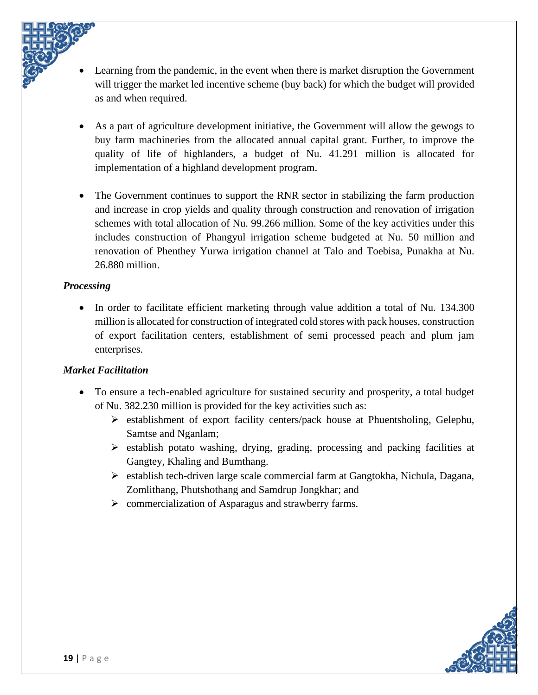- Learning from the pandemic, in the event when there is market disruption the Government will trigger the market led incentive scheme (buy back) for which the budget will provided as and when required.
- As a part of agriculture development initiative, the Government will allow the gewogs to buy farm machineries from the allocated annual capital grant. Further, to improve the quality of life of highlanders, a budget of Nu. 41.291 million is allocated for implementation of a highland development program.
- The Government continues to support the RNR sector in stabilizing the farm production and increase in crop yields and quality through construction and renovation of irrigation schemes with total allocation of Nu. 99.266 million. Some of the key activities under this includes construction of Phangyul irrigation scheme budgeted at Nu. 50 million and renovation of Phenthey Yurwa irrigation channel at Talo and Toebisa, Punakha at Nu. 26.880 million.

#### *Processing*

• In order to facilitate efficient marketing through value addition a total of Nu. 134.300 million is allocated for construction of integrated cold stores with pack houses, construction of export facilitation centers, establishment of semi processed peach and plum jam enterprises.

#### *Market Facilitation*

- To ensure a tech-enabled agriculture for sustained security and prosperity, a total budget of Nu. 382.230 million is provided for the key activities such as:
	- ➢ establishment of export facility centers/pack house at Phuentsholing, Gelephu, Samtse and Nganlam;
	- ➢ establish potato washing, drying, grading, processing and packing facilities at Gangtey, Khaling and Bumthang.
	- $\triangleright$  establish tech-driven large scale commercial farm at Gangtokha, Nichula, Dagana, Zomlithang, Phutshothang and Samdrup Jongkhar; and
	- ➢ commercialization of Asparagus and strawberry farms.

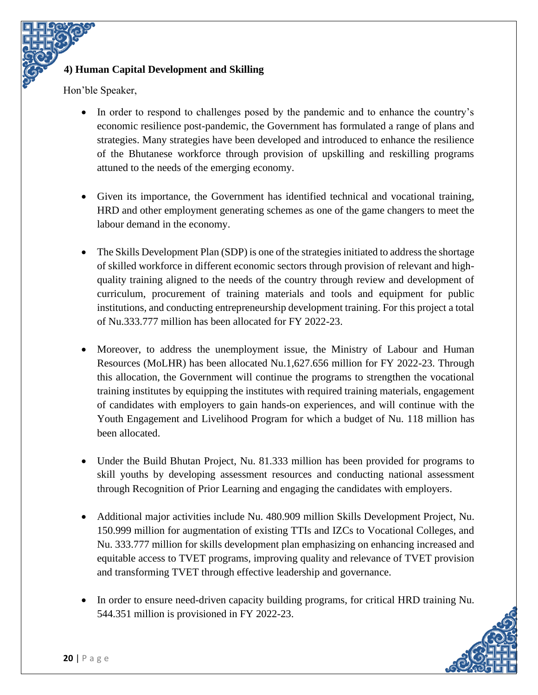### **4) Human Capital Development and Skilling**

Hon'ble Speaker,

- In order to respond to challenges posed by the pandemic and to enhance the country's economic resilience post-pandemic, the Government has formulated a range of plans and strategies. Many strategies have been developed and introduced to enhance the resilience of the Bhutanese workforce through provision of upskilling and reskilling programs attuned to the needs of the emerging economy.
- Given its importance, the Government has identified technical and vocational training, HRD and other employment generating schemes as one of the game changers to meet the labour demand in the economy.
- The Skills Development Plan (SDP) is one of the strategies initiated to address the shortage of skilled workforce in different economic sectors through provision of relevant and highquality training aligned to the needs of the country through review and development of curriculum, procurement of training materials and tools and equipment for public institutions, and conducting entrepreneurship development training. For this project a total of Nu.333.777 million has been allocated for FY 2022-23.
- Moreover, to address the unemployment issue, the Ministry of Labour and Human Resources (MoLHR) has been allocated Nu.1,627.656 million for FY 2022-23. Through this allocation, the Government will continue the programs to strengthen the vocational training institutes by equipping the institutes with required training materials, engagement of candidates with employers to gain hands-on experiences, and will continue with the Youth Engagement and Livelihood Program for which a budget of Nu. 118 million has been allocated.
- Under the Build Bhutan Project, Nu. 81.333 million has been provided for programs to skill youths by developing assessment resources and conducting national assessment through Recognition of Prior Learning and engaging the candidates with employers.
- Additional major activities include Nu. 480.909 million Skills Development Project, Nu. 150.999 million for augmentation of existing TTIs and IZCs to Vocational Colleges, and Nu. 333.777 million for skills development plan emphasizing on enhancing increased and equitable access to TVET programs, improving quality and relevance of TVET provision and transforming TVET through effective leadership and governance.
- In order to ensure need-driven capacity building programs, for critical HRD training Nu. 544.351 million is provisioned in FY 2022-23.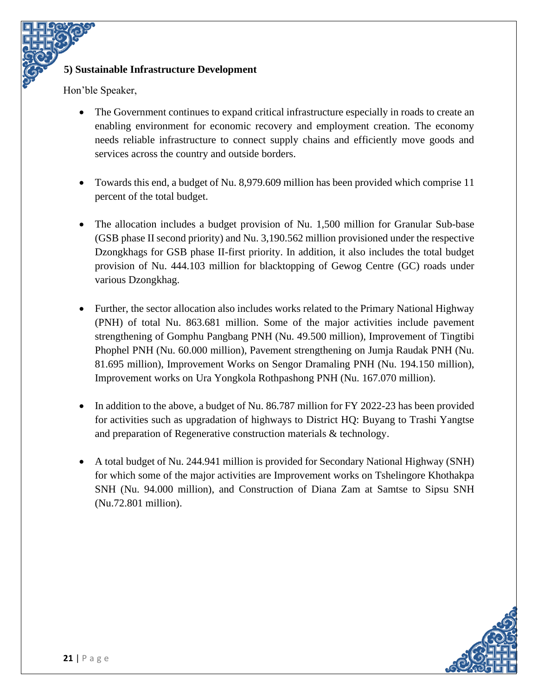#### **5) Sustainable Infrastructure Development**

Hon'ble Speaker,

- The Government continues to expand critical infrastructure especially in roads to create an enabling environment for economic recovery and employment creation. The economy needs reliable infrastructure to connect supply chains and efficiently move goods and services across the country and outside borders.
- Towards this end, a budget of Nu. 8,979.609 million has been provided which comprise 11 percent of the total budget.
- The allocation includes a budget provision of Nu. 1,500 million for Granular Sub-base (GSB phase II second priority) and Nu. 3,190.562 million provisioned under the respective Dzongkhags for GSB phase II-first priority. In addition, it also includes the total budget provision of Nu. 444.103 million for blacktopping of Gewog Centre (GC) roads under various Dzongkhag.
- Further, the sector allocation also includes works related to the Primary National Highway (PNH) of total Nu. 863.681 million. Some of the major activities include pavement strengthening of Gomphu Pangbang PNH (Nu. 49.500 million), Improvement of Tingtibi Phophel PNH (Nu. 60.000 million), Pavement strengthening on Jumja Raudak PNH (Nu. 81.695 million), Improvement Works on Sengor Dramaling PNH (Nu. 194.150 million), Improvement works on Ura Yongkola Rothpashong PNH (Nu. 167.070 million).
- In addition to the above, a budget of Nu. 86.787 million for FY 2022-23 has been provided for activities such as upgradation of highways to District HQ: Buyang to Trashi Yangtse and preparation of Regenerative construction materials & technology.
- A total budget of Nu. 244.941 million is provided for Secondary National Highway (SNH) for which some of the major activities are Improvement works on Tshelingore Khothakpa SNH (Nu. 94.000 million), and Construction of Diana Zam at Samtse to Sipsu SNH (Nu.72.801 million).

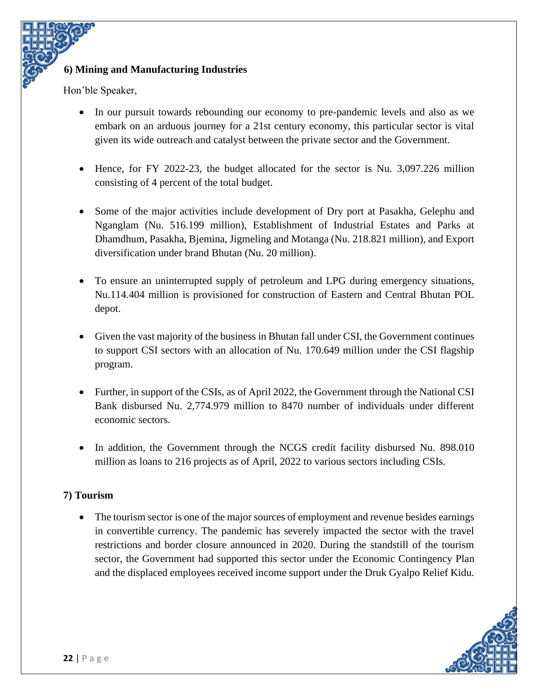### **6) Mining and Manufacturing Industries**

Hon'ble Speaker,

- In our pursuit towards rebounding our economy to pre-pandemic levels and also as we embark on an arduous journey for a 21st century economy, this particular sector is vital given its wide outreach and catalyst between the private sector and the Government.
- Hence, for FY 2022-23, the budget allocated for the sector is Nu. 3,097.226 million consisting of 4 percent of the total budget.
- Some of the major activities include development of Dry port at Pasakha, Gelephu and Nganglam (Nu. 516.199 million), Establishment of Industrial Estates and Parks at Dhamdhum, Pasakha, Bjemina, Jigmeling and Motanga (Nu. 218.821 million), and Export diversification under brand Bhutan (Nu. 20 million).
- To ensure an uninterrupted supply of petroleum and LPG during emergency situations, Nu.114.404 million is provisioned for construction of Eastern and Central Bhutan POL depot.
- Given the vast majority of the business in Bhutan fall under CSI, the Government continues to support CSI sectors with an allocation of Nu. 170.649 million under the CSI flagship program.
- Further, in support of the CSIs, as of April 2022, the Government through the National CSI Bank disbursed Nu. 2,774.979 million to 8470 number of individuals under different economic sectors.
- In addition, the Government through the NCGS credit facility disbursed Nu. 898.010 million as loans to 216 projects as of April, 2022 to various sectors including CSIs.

#### **7) Tourism**

The tourism sector is one of the major sources of employment and revenue besides earnings in convertible currency. The pandemic has severely impacted the sector with the travel restrictions and border closure announced in 2020. During the standstill of the tourism sector, the Government had supported this sector under the Economic Contingency Plan and the displaced employees received income support under the Druk Gyalpo Relief Kidu.

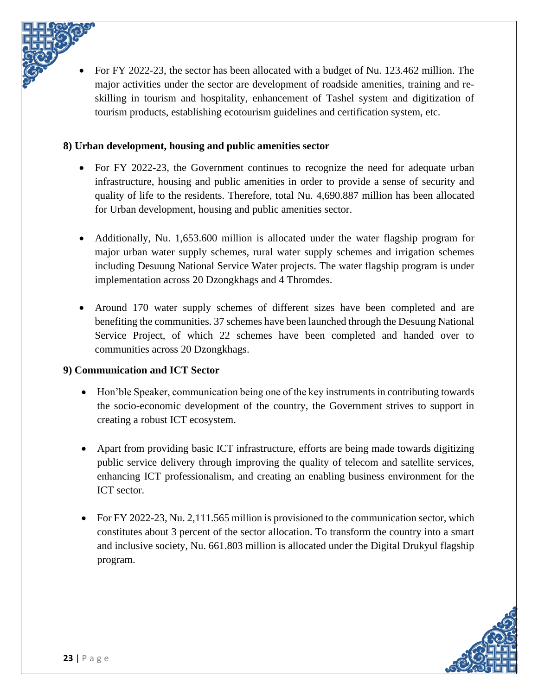• For FY 2022-23, the sector has been allocated with a budget of Nu. 123.462 million. The major activities under the sector are development of roadside amenities, training and reskilling in tourism and hospitality, enhancement of Tashel system and digitization of tourism products, establishing ecotourism guidelines and certification system, etc.

### **8) Urban development, housing and public amenities sector**

- For FY 2022-23, the Government continues to recognize the need for adequate urban infrastructure, housing and public amenities in order to provide a sense of security and quality of life to the residents. Therefore, total Nu. 4,690.887 million has been allocated for Urban development, housing and public amenities sector.
- Additionally, Nu. 1,653,600 million is allocated under the water flagship program for major urban water supply schemes, rural water supply schemes and irrigation schemes including Desuung National Service Water projects. The water flagship program is under implementation across 20 Dzongkhags and 4 Thromdes.
- Around 170 water supply schemes of different sizes have been completed and are benefiting the communities. 37 schemes have been launched through the Desuung National Service Project, of which 22 schemes have been completed and handed over to communities across 20 Dzongkhags.

## **9) Communication and ICT Sector**

- Hon'ble Speaker, communication being one of the key instruments in contributing towards the socio-economic development of the country, the Government strives to support in creating a robust ICT ecosystem.
- Apart from providing basic ICT infrastructure, efforts are being made towards digitizing public service delivery through improving the quality of telecom and satellite services, enhancing ICT professionalism, and creating an enabling business environment for the ICT sector.
- For FY 2022-23, Nu. 2,111.565 million is provisioned to the communication sector, which constitutes about 3 percent of the sector allocation. To transform the country into a smart and inclusive society, Nu. 661.803 million is allocated under the Digital Drukyul flagship program.

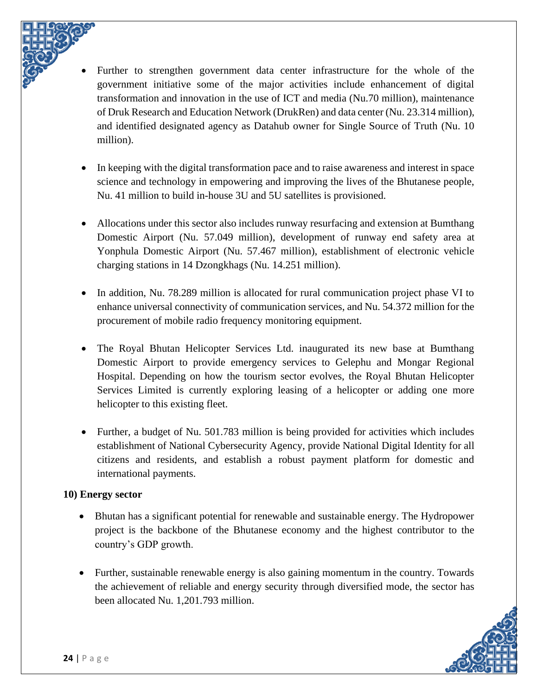

Further to strengthen government data center infrastructure for the whole of the government initiative some of the major activities include enhancement of digital transformation and innovation in the use of ICT and media (Nu.70 million), maintenance of Druk Research and Education Network (DrukRen) and data center (Nu. 23.314 million), and identified designated agency as Datahub owner for Single Source of Truth (Nu. 10 million).

- In keeping with the digital transformation pace and to raise awareness and interest in space science and technology in empowering and improving the lives of the Bhutanese people, Nu. 41 million to build in-house 3U and 5U satellites is provisioned.
- Allocations under this sector also includes runway resurfacing and extension at Bumthang Domestic Airport (Nu. 57.049 million), development of runway end safety area at Yonphula Domestic Airport (Nu. 57.467 million), establishment of electronic vehicle charging stations in 14 Dzongkhags (Nu. 14.251 million).
- In addition, Nu. 78.289 million is allocated for rural communication project phase VI to enhance universal connectivity of communication services, and Nu. 54.372 million for the procurement of mobile radio frequency monitoring equipment.
- The Royal Bhutan Helicopter Services Ltd. inaugurated its new base at Bumthang Domestic Airport to provide emergency services to Gelephu and Mongar Regional Hospital. Depending on how the tourism sector evolves, the Royal Bhutan Helicopter Services Limited is currently exploring leasing of a helicopter or adding one more helicopter to this existing fleet.
- Further, a budget of Nu. 501.783 million is being provided for activities which includes establishment of National Cybersecurity Agency, provide National Digital Identity for all citizens and residents, and establish a robust payment platform for domestic and international payments.

#### **10) Energy sector**

- Bhutan has a significant potential for renewable and sustainable energy. The Hydropower project is the backbone of the Bhutanese economy and the highest contributor to the country's GDP growth.
- Further, sustainable renewable energy is also gaining momentum in the country. Towards the achievement of reliable and energy security through diversified mode, the sector has been allocated Nu. 1,201.793 million.

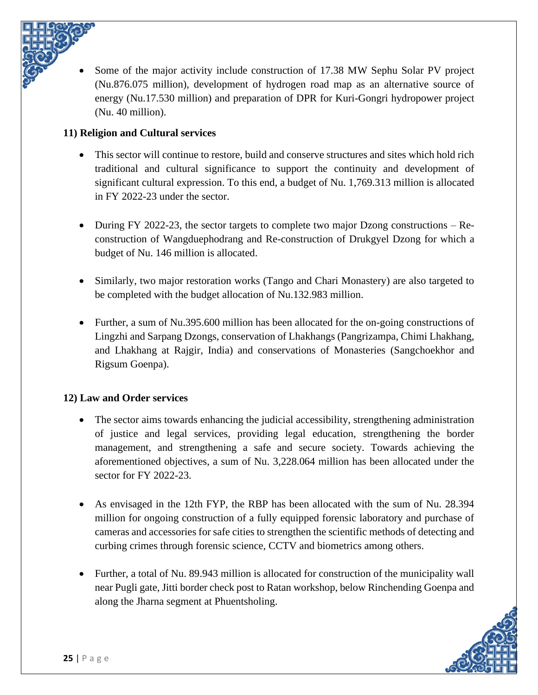

• Some of the major activity include construction of 17.38 MW Sephu Solar PV project (Nu.876.075 million), development of hydrogen road map as an alternative source of energy (Nu.17.530 million) and preparation of DPR for Kuri-Gongri hydropower project (Nu. 40 million).

### **11) Religion and Cultural services**

- This sector will continue to restore, build and conserve structures and sites which hold rich traditional and cultural significance to support the continuity and development of significant cultural expression. To this end, a budget of Nu. 1,769.313 million is allocated in FY 2022-23 under the sector.
- During FY 2022-23, the sector targets to complete two major Dzong constructions Reconstruction of Wangduephodrang and Re-construction of Drukgyel Dzong for which a budget of Nu. 146 million is allocated.
- Similarly, two major restoration works (Tango and Chari Monastery) are also targeted to be completed with the budget allocation of Nu.132.983 million.
- Further, a sum of Nu.395.600 million has been allocated for the on-going constructions of Lingzhi and Sarpang Dzongs, conservation of Lhakhangs (Pangrizampa, Chimi Lhakhang, and Lhakhang at Rajgir, India) and conservations of Monasteries (Sangchoekhor and Rigsum Goenpa).

## **12) Law and Order services**

- The sector aims towards enhancing the judicial accessibility, strengthening administration of justice and legal services, providing legal education, strengthening the border management, and strengthening a safe and secure society. Towards achieving the aforementioned objectives, a sum of Nu. 3,228.064 million has been allocated under the sector for FY 2022-23.
- As envisaged in the 12th FYP, the RBP has been allocated with the sum of Nu. 28.394 million for ongoing construction of a fully equipped forensic laboratory and purchase of cameras and accessories for safe cities to strengthen the scientific methods of detecting and curbing crimes through forensic science, CCTV and biometrics among others.
- Further, a total of Nu. 89.943 million is allocated for construction of the municipality wall near Pugli gate, Jitti border check post to Ratan workshop, below Rinchending Goenpa and along the Jharna segment at Phuentsholing.

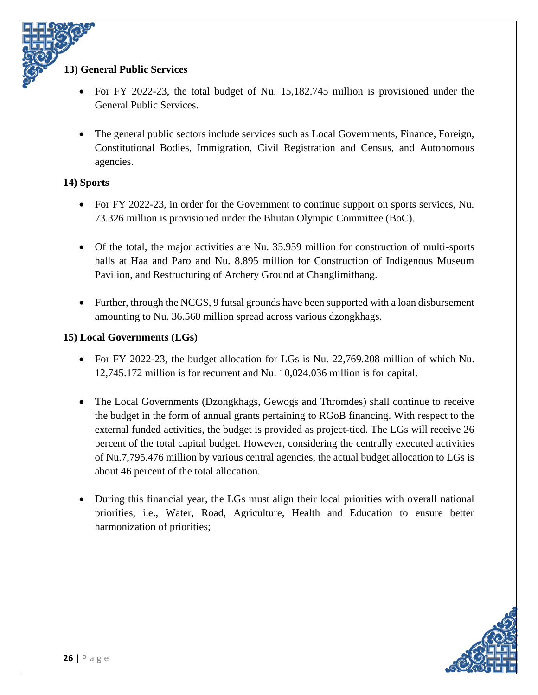#### **13) General Public Services**

- For FY 2022-23, the total budget of Nu. 15,182.745 million is provisioned under the General Public Services.
- The general public sectors include services such as Local Governments, Finance, Foreign, Constitutional Bodies, Immigration, Civil Registration and Census, and Autonomous agencies.

#### **14) Sports**

- For FY 2022-23, in order for the Government to continue support on sports services, Nu. 73.326 million is provisioned under the Bhutan Olympic Committee (BoC).
- Of the total, the major activities are Nu. 35.959 million for construction of multi-sports halls at Haa and Paro and Nu. 8.895 million for Construction of Indigenous Museum Pavilion, and Restructuring of Archery Ground at Changlimithang.
- Further, through the NCGS, 9 futsal grounds have been supported with a loan disbursement amounting to Nu. 36.560 million spread across various dzongkhags.

### **15) Local Governments (LGs)**

- For FY 2022-23, the budget allocation for LGs is Nu. 22,769.208 million of which Nu. 12,745.172 million is for recurrent and Nu. 10,024.036 million is for capital.
- The Local Governments (Dzongkhags, Gewogs and Thromdes) shall continue to receive the budget in the form of annual grants pertaining to RGoB financing. With respect to the external funded activities, the budget is provided as project-tied. The LGs will receive 26 percent of the total capital budget. However, considering the centrally executed activities of Nu.7,795.476 million by various central agencies, the actual budget allocation to LGs is about 46 percent of the total allocation.
- During this financial year, the LGs must align their local priorities with overall national priorities, i.e., Water, Road, Agriculture, Health and Education to ensure better harmonization of priorities;

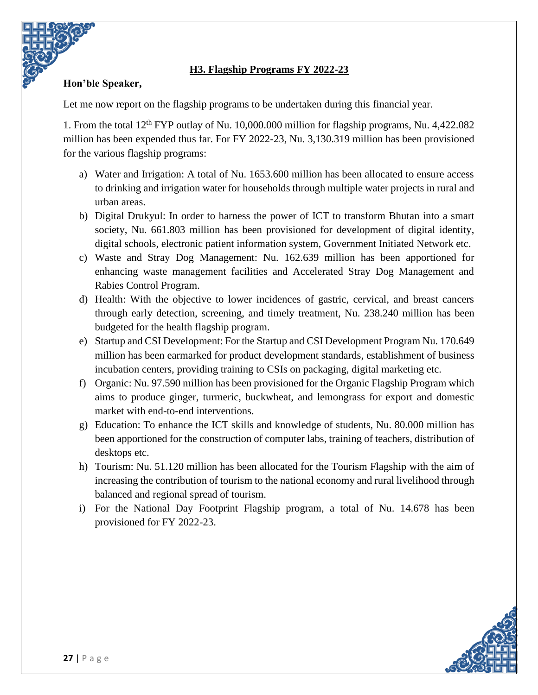### **H3. Flagship Programs FY 2022-23**

### <span id="page-30-0"></span>**Hon'ble Speaker,**

Let me now report on the flagship programs to be undertaken during this financial year.

1. From the total 12th FYP outlay of Nu. 10,000.000 million for flagship programs, Nu. 4,422.082 million has been expended thus far. For FY 2022-23, Nu. 3,130.319 million has been provisioned for the various flagship programs:

- a) Water and Irrigation: A total of Nu. 1653.600 million has been allocated to ensure access to drinking and irrigation water for households through multiple water projects in rural and urban areas.
- b) Digital Drukyul: In order to harness the power of ICT to transform Bhutan into a smart society, Nu. 661.803 million has been provisioned for development of digital identity, digital schools, electronic patient information system, Government Initiated Network etc.
- c) Waste and Stray Dog Management: Nu. 162.639 million has been apportioned for enhancing waste management facilities and Accelerated Stray Dog Management and Rabies Control Program.
- d) Health: With the objective to lower incidences of gastric, cervical, and breast cancers through early detection, screening, and timely treatment, Nu. 238.240 million has been budgeted for the health flagship program.
- e) Startup and CSI Development: For the Startup and CSI Development Program Nu. 170.649 million has been earmarked for product development standards, establishment of business incubation centers, providing training to CSIs on packaging, digital marketing etc.
- f) Organic: Nu. 97.590 million has been provisioned for the Organic Flagship Program which aims to produce ginger, turmeric, buckwheat, and lemongrass for export and domestic market with end-to-end interventions.
- g) Education: To enhance the ICT skills and knowledge of students, Nu. 80.000 million has been apportioned for the construction of computer labs, training of teachers, distribution of desktops etc.
- h) Tourism: Nu. 51.120 million has been allocated for the Tourism Flagship with the aim of increasing the contribution of tourism to the national economy and rural livelihood through balanced and regional spread of tourism.
- i) For the National Day Footprint Flagship program, a total of Nu. 14.678 has been provisioned for FY 2022-23.

![](_page_30_Picture_13.jpeg)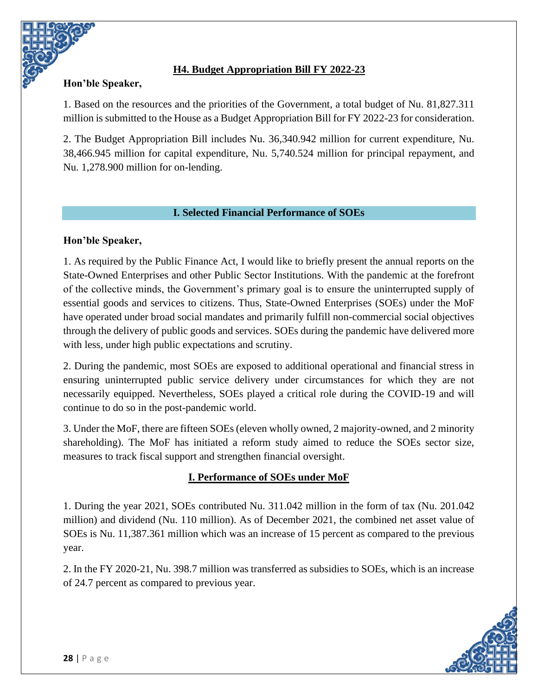### <span id="page-31-0"></span>**Hon'ble Speaker,**

### **H4. Budget Appropriation Bill FY 2022-23**

1. Based on the resources and the priorities of the Government, a total budget of Nu. 81,827.311 million is submitted to the House as a Budget Appropriation Bill for FY 2022-23 for consideration.

2. The Budget Appropriation Bill includes Nu. 36,340.942 million for current expenditure, Nu. 38,466.945 million for capital expenditure, Nu. 5,740.524 million for principal repayment, and Nu. 1,278.900 million for on-lending.

#### **I. Selected Financial Performance of SOEs**

#### <span id="page-31-1"></span>**Hon'ble Speaker,**

1. As required by the Public Finance Act, I would like to briefly present the annual reports on the State-Owned Enterprises and other Public Sector Institutions. With the pandemic at the forefront of the collective minds, the Government's primary goal is to ensure the uninterrupted supply of essential goods and services to citizens. Thus, State-Owned Enterprises (SOEs) under the MoF have operated under broad social mandates and primarily fulfill non-commercial social objectives through the delivery of public goods and services. SOEs during the pandemic have delivered more with less, under high public expectations and scrutiny.

2. During the pandemic, most SOEs are exposed to additional operational and financial stress in ensuring uninterrupted public service delivery under circumstances for which they are not necessarily equipped. Nevertheless, SOEs played a critical role during the COVID-19 and will continue to do so in the post-pandemic world.

3. Under the MoF, there are fifteen SOEs (eleven wholly owned, 2 majority-owned, and 2 minority shareholding). The MoF has initiated a reform study aimed to reduce the SOEs sector size, measures to track fiscal support and strengthen financial oversight.

#### **I. Performance of SOEs under MoF**

1. During the year 2021, SOEs contributed Nu. 311.042 million in the form of tax (Nu. 201.042 million) and dividend (Nu. 110 million). As of December 2021, the combined net asset value of SOEs is Nu. 11,387.361 million which was an increase of 15 percent as compared to the previous year.

2. In the FY 2020-21, Nu. 398.7 million was transferred as subsidies to SOEs, which is an increase of 24.7 percent as compared to previous year.

![](_page_31_Picture_12.jpeg)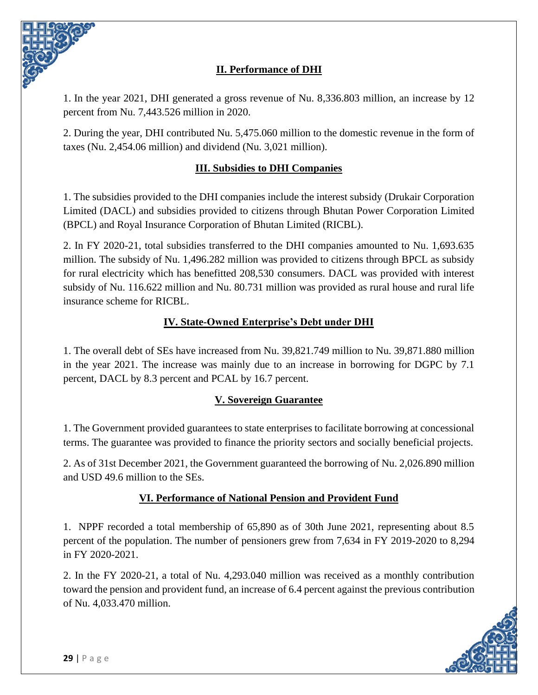![](_page_32_Picture_0.jpeg)

1. In the year 2021, DHI generated a gross revenue of Nu. 8,336.803 million, an increase by 12 percent from Nu. 7,443.526 million in 2020.

2. During the year, DHI contributed Nu. 5,475.060 million to the domestic revenue in the form of taxes (Nu. 2,454.06 million) and dividend (Nu. 3,021 million).

## **III. Subsidies to DHI Companies**

1. The subsidies provided to the DHI companies include the interest subsidy (Drukair Corporation Limited (DACL) and subsidies provided to citizens through Bhutan Power Corporation Limited (BPCL) and Royal Insurance Corporation of Bhutan Limited (RICBL).

2. In FY 2020-21, total subsidies transferred to the DHI companies amounted to Nu. 1,693.635 million. The subsidy of Nu. 1,496.282 million was provided to citizens through BPCL as subsidy for rural electricity which has benefitted 208,530 consumers. DACL was provided with interest subsidy of Nu. 116.622 million and Nu. 80.731 million was provided as rural house and rural life insurance scheme for RICBL.

### **IV. State-Owned Enterprise's Debt under DHI**

1. The overall debt of SEs have increased from Nu. 39,821.749 million to Nu. 39,871.880 million in the year 2021. The increase was mainly due to an increase in borrowing for DGPC by 7.1 percent, DACL by 8.3 percent and PCAL by 16.7 percent.

#### **V. Sovereign Guarantee**

1. The Government provided guarantees to state enterprises to facilitate borrowing at concessional terms. The guarantee was provided to finance the priority sectors and socially beneficial projects.

2. As of 31st December 2021, the Government guaranteed the borrowing of Nu. 2,026.890 million and USD 49.6 million to the SEs.

#### **VI. Performance of National Pension and Provident Fund**

1. NPPF recorded a total membership of 65,890 as of 30th June 2021, representing about 8.5 percent of the population. The number of pensioners grew from 7,634 in FY 2019-2020 to 8,294 in FY 2020-2021.

2. In the FY 2020-21, a total of Nu. 4,293.040 million was received as a monthly contribution toward the pension and provident fund, an increase of 6.4 percent against the previous contribution of Nu. 4,033.470 million.

![](_page_32_Picture_14.jpeg)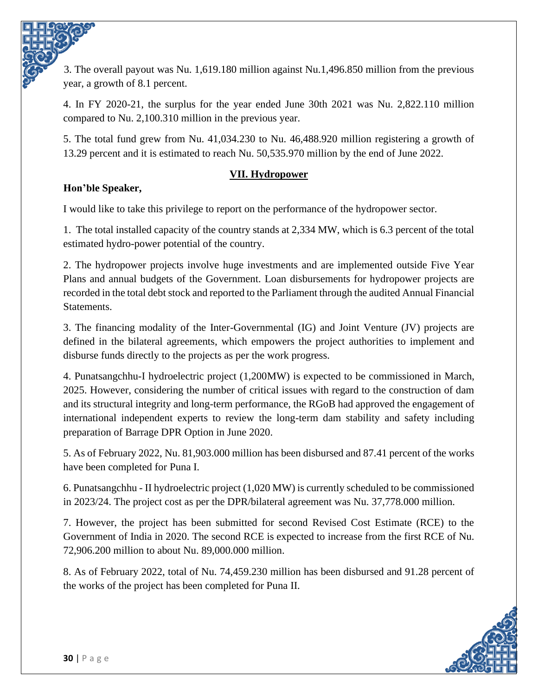3. The overall payout was Nu. 1,619.180 million against Nu.1,496.850 million from the previous year, a growth of 8.1 percent.

4. In FY 2020-21, the surplus for the year ended June 30th 2021 was Nu. 2,822.110 million compared to Nu. 2,100.310 million in the previous year.

5. The total fund grew from Nu. 41,034.230 to Nu. 46,488.920 million registering a growth of 13.29 percent and it is estimated to reach Nu. 50,535.970 million by the end of June 2022.

### **VII. Hydropower**

# **Hon'ble Speaker,**

I would like to take this privilege to report on the performance of the hydropower sector.

1. The total installed capacity of the country stands at 2,334 MW, which is 6.3 percent of the total estimated hydro-power potential of the country.

2. The hydropower projects involve huge investments and are implemented outside Five Year Plans and annual budgets of the Government. Loan disbursements for hydropower projects are recorded in the total debt stock and reported to the Parliament through the audited Annual Financial Statements.

3. The financing modality of the Inter-Governmental (IG) and Joint Venture (JV) projects are defined in the bilateral agreements, which empowers the project authorities to implement and disburse funds directly to the projects as per the work progress.

4. Punatsangchhu-I hydroelectric project (1,200MW) is expected to be commissioned in March, 2025. However, considering the number of critical issues with regard to the construction of dam and its structural integrity and long-term performance, the RGoB had approved the engagement of international independent experts to review the long-term dam stability and safety including preparation of Barrage DPR Option in June 2020.

5. As of February 2022, Nu. 81,903.000 million has been disbursed and 87.41 percent of the works have been completed for Puna I.

6. Punatsangchhu - II hydroelectric project (1,020 MW) is currently scheduled to be commissioned in 2023/24. The project cost as per the DPR/bilateral agreement was Nu. 37,778.000 million.

7. However, the project has been submitted for second Revised Cost Estimate (RCE) to the Government of India in 2020. The second RCE is expected to increase from the first RCE of Nu. 72,906.200 million to about Nu. 89,000.000 million.

8. As of February 2022, total of Nu. 74,459.230 million has been disbursed and 91.28 percent of the works of the project has been completed for Puna II.

![](_page_33_Picture_14.jpeg)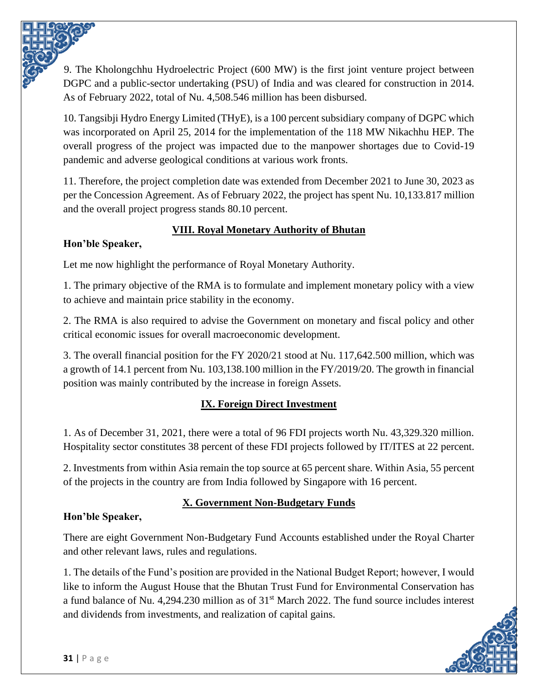9. The Kholongchhu Hydroelectric Project (600 MW) is the first joint venture project between DGPC and a public-sector undertaking (PSU) of India and was cleared for construction in 2014. As of February 2022, total of Nu. 4,508.546 million has been disbursed.

10. Tangsibji Hydro Energy Limited (THyE), is a 100 percent subsidiary company of DGPC which was incorporated on April 25, 2014 for the implementation of the 118 MW Nikachhu HEP. The overall progress of the project was impacted due to the manpower shortages due to Covid-19 pandemic and adverse geological conditions at various work fronts.

11. Therefore, the project completion date was extended from December 2021 to June 30, 2023 as per the Concession Agreement. As of February 2022, the project has spent Nu. 10,133.817 million and the overall project progress stands 80.10 percent.

# **VIII. Royal Monetary Authority of Bhutan**

# **Hon'ble Speaker,**

Let me now highlight the performance of Royal Monetary Authority.

1. The primary objective of the RMA is to formulate and implement monetary policy with a view to achieve and maintain price stability in the economy.

2. The RMA is also required to advise the Government on monetary and fiscal policy and other critical economic issues for overall macroeconomic development.

3. The overall financial position for the FY 2020/21 stood at Nu. 117,642.500 million, which was a growth of 14.1 percent from Nu. 103,138.100 million in the FY/2019/20. The growth in financial position was mainly contributed by the increase in foreign Assets.

# **IX. Foreign Direct Investment**

1. As of December 31, 2021, there were a total of 96 FDI projects worth Nu. 43,329.320 million. Hospitality sector constitutes 38 percent of these FDI projects followed by IT/ITES at 22 percent.

2. Investments from within Asia remain the top source at 65 percent share. Within Asia, 55 percent of the projects in the country are from India followed by Singapore with 16 percent.

# **X. Government Non-Budgetary Funds**

# **Hon'ble Speaker,**

There are eight Government Non-Budgetary Fund Accounts established under the Royal Charter and other relevant laws, rules and regulations.

1. The details of the Fund's position are provided in the National Budget Report; however, I would like to inform the August House that the Bhutan Trust Fund for Environmental Conservation has a fund balance of Nu. 4,294.230 million as of  $31<sup>st</sup>$  March 2022. The fund source includes interest and dividends from investments, and realization of capital gains.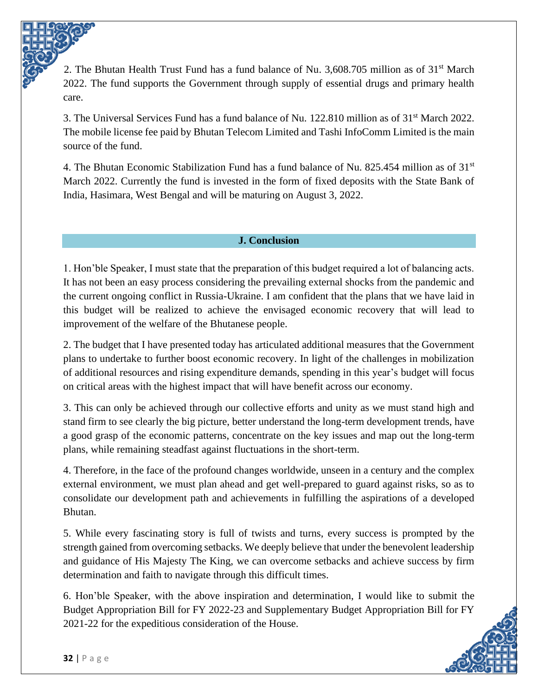2. The Bhutan Health Trust Fund has a fund balance of Nu. 3,608.705 million as of  $31<sup>st</sup>$  March 2022. The fund supports the Government through supply of essential drugs and primary health care.

3. The Universal Services Fund has a fund balance of Nu. 122.810 million as of 31st March 2022. The mobile license fee paid by Bhutan Telecom Limited and Tashi InfoComm Limited is the main source of the fund.

4. The Bhutan Economic Stabilization Fund has a fund balance of Nu. 825.454 million as of  $31<sup>st</sup>$ March 2022. Currently the fund is invested in the form of fixed deposits with the State Bank of India, Hasimara, West Bengal and will be maturing on August 3, 2022.

#### **J. Conclusion**

<span id="page-35-0"></span>1. Hon'ble Speaker, I must state that the preparation of this budget required a lot of balancing acts. It has not been an easy process considering the prevailing external shocks from the pandemic and the current ongoing conflict in Russia-Ukraine. I am confident that the plans that we have laid in this budget will be realized to achieve the envisaged economic recovery that will lead to improvement of the welfare of the Bhutanese people.

2. The budget that I have presented today has articulated additional measures that the Government plans to undertake to further boost economic recovery. In light of the challenges in mobilization of additional resources and rising expenditure demands, spending in this year's budget will focus on critical areas with the highest impact that will have benefit across our economy.

3. This can only be achieved through our collective efforts and unity as we must stand high and stand firm to see clearly the big picture, better understand the long-term development trends, have a good grasp of the economic patterns, concentrate on the key issues and map out the long-term plans, while remaining steadfast against fluctuations in the short-term.

4. Therefore, in the face of the profound changes worldwide, unseen in a century and the complex external environment, we must plan ahead and get well-prepared to guard against risks, so as to consolidate our development path and achievements in fulfilling the aspirations of a developed Bhutan.

5. While every fascinating story is full of twists and turns, every success is prompted by the strength gained from overcoming setbacks. We deeply believe that under the benevolent leadership and guidance of His Majesty The King, we can overcome setbacks and achieve success by firm determination and faith to navigate through this difficult times.

6. Hon'ble Speaker, with the above inspiration and determination, I would like to submit the Budget Appropriation Bill for FY 2022-23 and Supplementary Budget Appropriation Bill for FY 2021-22 for the expeditious consideration of the House.